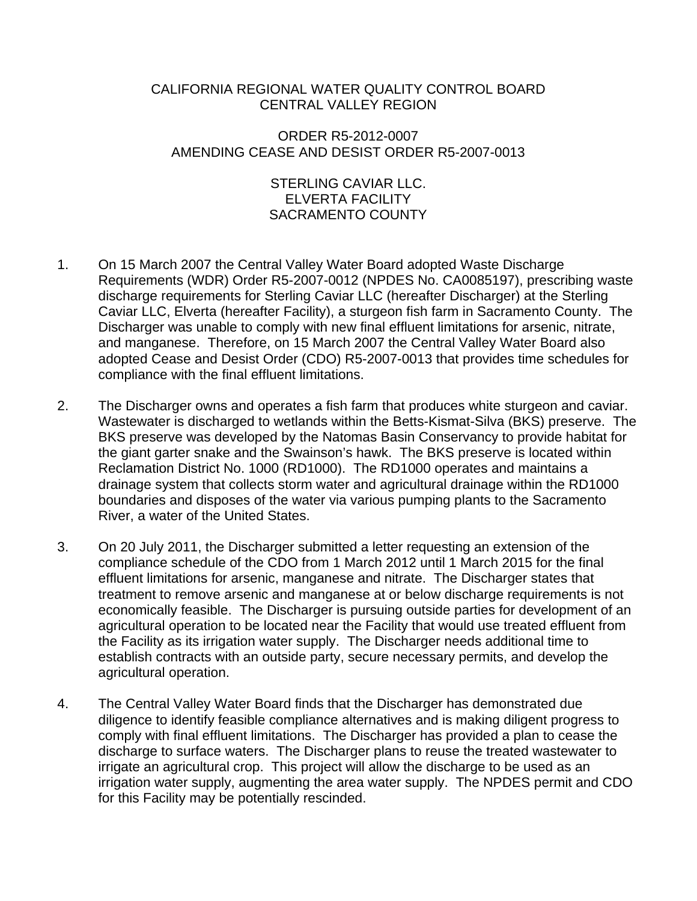### CALIFORNIA REGIONAL WATER QUALITY CONTROL BOARD CENTRAL VALLEY REGION

## ORDER R5-2012-0007 AMENDING CEASE AND DESIST ORDER R5-2007-0013

#### STERLING CAVIAR LLC. ELVERTA FACILITY SACRAMENTO COUNTY

- 1. On 15 March 2007 the Central Valley Water Board adopted Waste Discharge Requirements (WDR) Order R5-2007-0012 (NPDES No. CA0085197), prescribing waste discharge requirements for Sterling Caviar LLC (hereafter Discharger) at the Sterling Caviar LLC, Elverta (hereafter Facility), a sturgeon fish farm in Sacramento County. The Discharger was unable to comply with new final effluent limitations for arsenic, nitrate, and manganese. Therefore, on 15 March 2007 the Central Valley Water Board also adopted Cease and Desist Order (CDO) R5-2007-0013 that provides time schedules for compliance with the final effluent limitations.
- 2. The Discharger owns and operates a fish farm that produces white sturgeon and caviar. Wastewater is discharged to wetlands within the Betts-Kismat-Silva (BKS) preserve. The BKS preserve was developed by the Natomas Basin Conservancy to provide habitat for the giant garter snake and the Swainson's hawk. The BKS preserve is located within Reclamation District No. 1000 (RD1000). The RD1000 operates and maintains a drainage system that collects storm water and agricultural drainage within the RD1000 boundaries and disposes of the water via various pumping plants to the Sacramento River, a water of the United States.
- 3. On 20 July 2011, the Discharger submitted a letter requesting an extension of the compliance schedule of the CDO from 1 March 2012 until 1 March 2015 for the final effluent limitations for arsenic, manganese and nitrate. The Discharger states that treatment to remove arsenic and manganese at or below discharge requirements is not economically feasible. The Discharger is pursuing outside parties for development of an agricultural operation to be located near the Facility that would use treated effluent from the Facility as its irrigation water supply. The Discharger needs additional time to establish contracts with an outside party, secure necessary permits, and develop the agricultural operation.
- 4. The Central Valley Water Board finds that the Discharger has demonstrated due diligence to identify feasible compliance alternatives and is making diligent progress to comply with final effluent limitations. The Discharger has provided a plan to cease the discharge to surface waters. The Discharger plans to reuse the treated wastewater to irrigate an agricultural crop. This project will allow the discharge to be used as an irrigation water supply, augmenting the area water supply. The NPDES permit and CDO for this Facility may be potentially rescinded.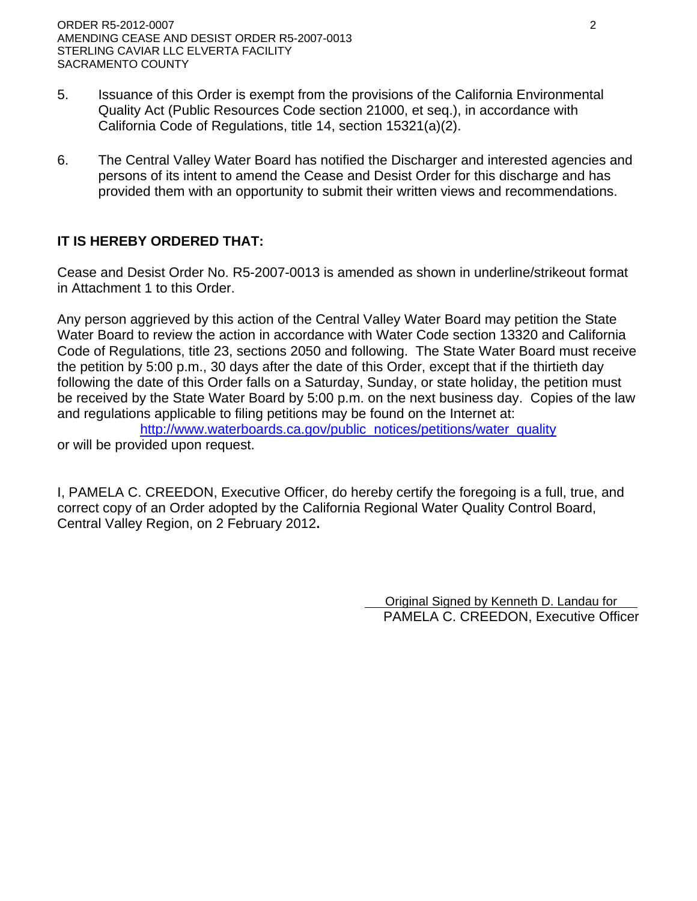ORDER R5-2012-0007 2 AMENDING CEASE AND DESIST ORDER R5-2007-0013 STERLING CAVIAR LLC ELVERTA FACILITY SACRAMENTO COUNTY

- 5. Issuance of this Order is exempt from the provisions of the California Environmental Quality Act (Public Resources Code section 21000, et seq.), in accordance with California Code of Regulations, title 14, section 15321(a)(2).
- 6. The Central Valley Water Board has notified the Discharger and interested agencies and persons of its intent to amend the Cease and Desist Order for this discharge and has provided them with an opportunity to submit their written views and recommendations.

# **IT IS HEREBY ORDERED THAT:**

Cease and Desist Order No. R5-2007-0013 is amended as shown in underline/strikeout format in Attachment 1 to this Order.

Any person aggrieved by this action of the Central Valley Water Board may petition the State Water Board to review the action in accordance with Water Code section 13320 and California Code of Regulations, title 23, sections 2050 and following. The State Water Board must receive the petition by 5:00 p.m., 30 days after the date of this Order, except that if the thirtieth day following the date of this Order falls on a Saturday, Sunday, or state holiday, the petition must be received by the State Water Board by 5:00 p.m. on the next business day. Copies of the law and regulations applicable to filing petitions may be found on the Internet at:

http://www.waterboards.ca.gov/public\_notices/petitions/water\_quality or will be provided upon request.

I, PAMELA C. CREEDON, Executive Officer, do hereby certify the foregoing is a full, true, and correct copy of an Order adopted by the California Regional Water Quality Control Board, Central Valley Region, on 2 February 2012**.** 

> Original Signed by Kenneth D. Landau for PAMELA C. CREEDON, Executive Officer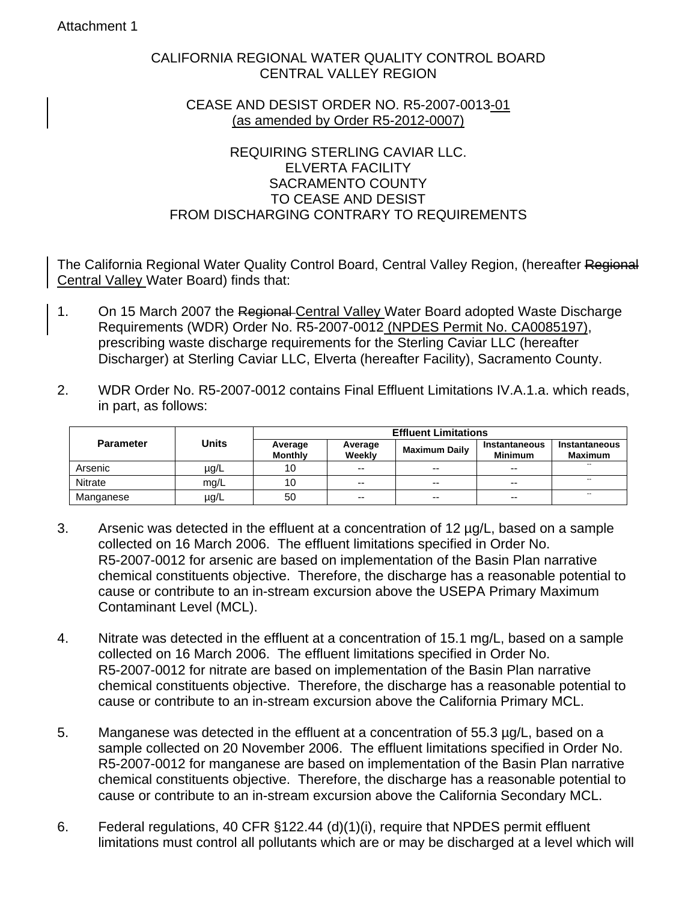#### Attachment 1

### CALIFORNIA REGIONAL WATER QUALITY CONTROL BOARD CENTRAL VALLEY REGION

#### CEASE AND DESIST ORDER NO. R5-2007-0013-01 (as amended by Order R5-2012-0007)

#### REQUIRING STERLING CAVIAR LLC. ELVERTA FACILITY SACRAMENTO COUNTY TO CEASE AND DESIST FROM DISCHARGING CONTRARY TO REQUIREMENTS

The California Regional Water Quality Control Board, Central Valley Region, (hereafter Regional Central Valley Water Board) finds that:

- 1. On 15 March 2007 the Regional-Central Valley Water Board adopted Waste Discharge Requirements (WDR) Order No. R5-2007-0012 (NPDES Permit No. CA0085197), prescribing waste discharge requirements for the Sterling Caviar LLC (hereafter Discharger) at Sterling Caviar LLC, Elverta (hereafter Facility), Sacramento County.
- 2. WDR Order No. R5-2007-0012 contains Final Effluent Limitations IV.A.1.a. which reads, in part, as follows:

|                  | <b>Units</b> | <b>Effluent Limitations</b> |                   |                      |                                 |                                        |
|------------------|--------------|-----------------------------|-------------------|----------------------|---------------------------------|----------------------------------------|
| <b>Parameter</b> |              | Average<br><b>Monthly</b>   | Average<br>Weekly | <b>Maximum Daily</b> | Instantaneous<br><b>Minimum</b> | <b>Instantaneous</b><br><b>Maximum</b> |
| Arsenic          | $\mu$ g/L    | 10                          | --                | $- -$                | $-$                             | $\overline{\phantom{a}}$               |
| <b>Nitrate</b>   | mq/L         | 10                          | --                | --                   | $-$                             | $-$                                    |
| Manganese        | µg/L         | 50                          | --                | --                   | $- -$                           | $\overline{\phantom{a}}$               |

- 3. Arsenic was detected in the effluent at a concentration of 12 µg/L, based on a sample collected on 16 March 2006. The effluent limitations specified in Order No. R5-2007-0012 for arsenic are based on implementation of the Basin Plan narrative chemical constituents objective. Therefore, the discharge has a reasonable potential to cause or contribute to an in-stream excursion above the USEPA Primary Maximum Contaminant Level (MCL).
- 4. Nitrate was detected in the effluent at a concentration of 15.1 mg/L, based on a sample collected on 16 March 2006. The effluent limitations specified in Order No. R5-2007-0012 for nitrate are based on implementation of the Basin Plan narrative chemical constituents objective. Therefore, the discharge has a reasonable potential to cause or contribute to an in-stream excursion above the California Primary MCL.
- 5. Manganese was detected in the effluent at a concentration of 55.3 µg/L, based on a sample collected on 20 November 2006. The effluent limitations specified in Order No. R5-2007-0012 for manganese are based on implementation of the Basin Plan narrative chemical constituents objective. Therefore, the discharge has a reasonable potential to cause or contribute to an in-stream excursion above the California Secondary MCL.
- 6. Federal regulations, 40 CFR §122.44 (d)(1)(i), require that NPDES permit effluent limitations must control all pollutants which are or may be discharged at a level which will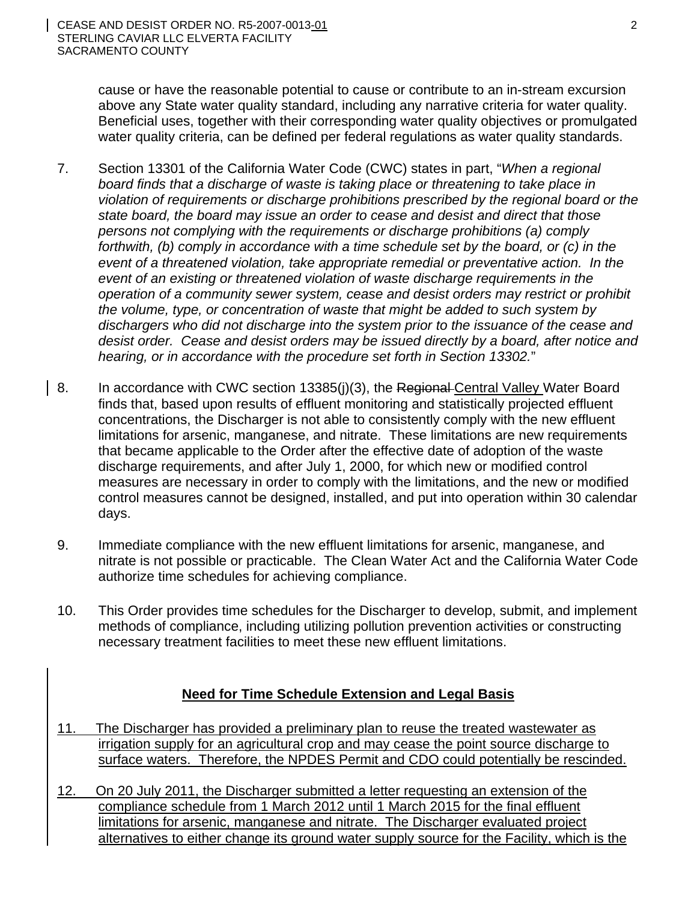cause or have the reasonable potential to cause or contribute to an in-stream excursion above any State water quality standard, including any narrative criteria for water quality. Beneficial uses, together with their corresponding water quality objectives or promulgated water quality criteria, can be defined per federal regulations as water quality standards.

- 7. Section 13301 of the California Water Code (CWC) states in part, "*When a regional board finds that a discharge of waste is taking place or threatening to take place in violation of requirements or discharge prohibitions prescribed by the regional board or the state board, the board may issue an order to cease and desist and direct that those persons not complying with the requirements or discharge prohibitions (a) comply forthwith, (b) comply in accordance with a time schedule set by the board, or (c) in the event of a threatened violation, take appropriate remedial or preventative action. In the event of an existing or threatened violation of waste discharge requirements in the operation of a community sewer system, cease and desist orders may restrict or prohibit the volume, type, or concentration of waste that might be added to such system by dischargers who did not discharge into the system prior to the issuance of the cease and desist order. Cease and desist orders may be issued directly by a board, after notice and hearing, or in accordance with the procedure set forth in Section 13302.*"
- 8. In accordance with CWC section 13385(j)(3), the Regional Central Valley Water Board finds that, based upon results of effluent monitoring and statistically projected effluent concentrations, the Discharger is not able to consistently comply with the new effluent limitations for arsenic, manganese, and nitrate. These limitations are new requirements that became applicable to the Order after the effective date of adoption of the waste discharge requirements, and after July 1, 2000, for which new or modified control measures are necessary in order to comply with the limitations, and the new or modified control measures cannot be designed, installed, and put into operation within 30 calendar days.
- 9. Immediate compliance with the new effluent limitations for arsenic, manganese, and nitrate is not possible or practicable. The Clean Water Act and the California Water Code authorize time schedules for achieving compliance.
- 10. This Order provides time schedules for the Discharger to develop, submit, and implement methods of compliance, including utilizing pollution prevention activities or constructing necessary treatment facilities to meet these new effluent limitations.

# **Need for Time Schedule Extension and Legal Basis**

- 11. The Discharger has provided a preliminary plan to reuse the treated wastewater as irrigation supply for an agricultural crop and may cease the point source discharge to surface waters. Therefore, the NPDES Permit and CDO could potentially be rescinded.
- 12. On 20 July 2011, the Discharger submitted a letter requesting an extension of the compliance schedule from 1 March 2012 until 1 March 2015 for the final effluent limitations for arsenic, manganese and nitrate. The Discharger evaluated project alternatives to either change its ground water supply source for the Facility, which is the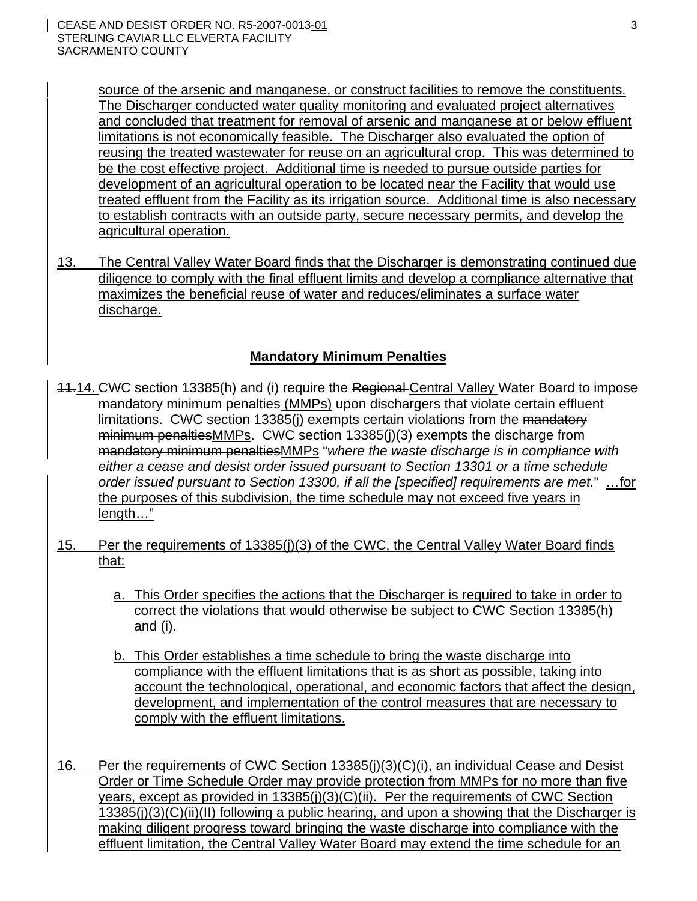source of the arsenic and manganese, or construct facilities to remove the constituents. The Discharger conducted water quality monitoring and evaluated project alternatives and concluded that treatment for removal of arsenic and manganese at or below effluent limitations is not economically feasible. The Discharger also evaluated the option of reusing the treated wastewater for reuse on an agricultural crop. This was determined to be the cost effective project. Additional time is needed to pursue outside parties for development of an agricultural operation to be located near the Facility that would use treated effluent from the Facility as its irrigation source. Additional time is also necessary to establish contracts with an outside party, secure necessary permits, and develop the agricultural operation.

13. The Central Valley Water Board finds that the Discharger is demonstrating continued due diligence to comply with the final effluent limits and develop a compliance alternative that maximizes the beneficial reuse of water and reduces/eliminates a surface water discharge.

# **Mandatory Minimum Penalties**

- 11.14. CWC section 13385(h) and (i) require the Regional Central Valley Water Board to impose mandatory minimum penalties (MMPs) upon dischargers that violate certain effluent limitations. CWC section 13385(j) exempts certain violations from the mandatory minimum penalties MMPs. CWC section 13385(j)(3) exempts the discharge from mandatory minimum penaltiesMMPs "*where the waste discharge is in compliance with either a cease and desist order issued pursuant to Section 13301 or a time schedule order issued pursuant to Section 13300, if all the [specified] requirements are met.*"...for the purposes of this subdivision, the time schedule may not exceed five years in length…"
- 15. Per the requirements of 13385(j)(3) of the CWC, the Central Valley Water Board finds that:
	- a. This Order specifies the actions that the Discharger is required to take in order to correct the violations that would otherwise be subject to CWC Section 13385(h) and (i).
	- b. This Order establishes a time schedule to bring the waste discharge into compliance with the effluent limitations that is as short as possible, taking into account the technological, operational, and economic factors that affect the design, development, and implementation of the control measures that are necessary to comply with the effluent limitations.
- 16. Per the requirements of CWC Section 13385(j)(3)(C)(i), an individual Cease and Desist Order or Time Schedule Order may provide protection from MMPs for no more than five years, except as provided in 13385(j)(3)(C)(ii). Per the requirements of CWC Section 13385(j)(3)(C)(ii)(II) following a public hearing, and upon a showing that the Discharger is making diligent progress toward bringing the waste discharge into compliance with the effluent limitation, the Central Valley Water Board may extend the time schedule for an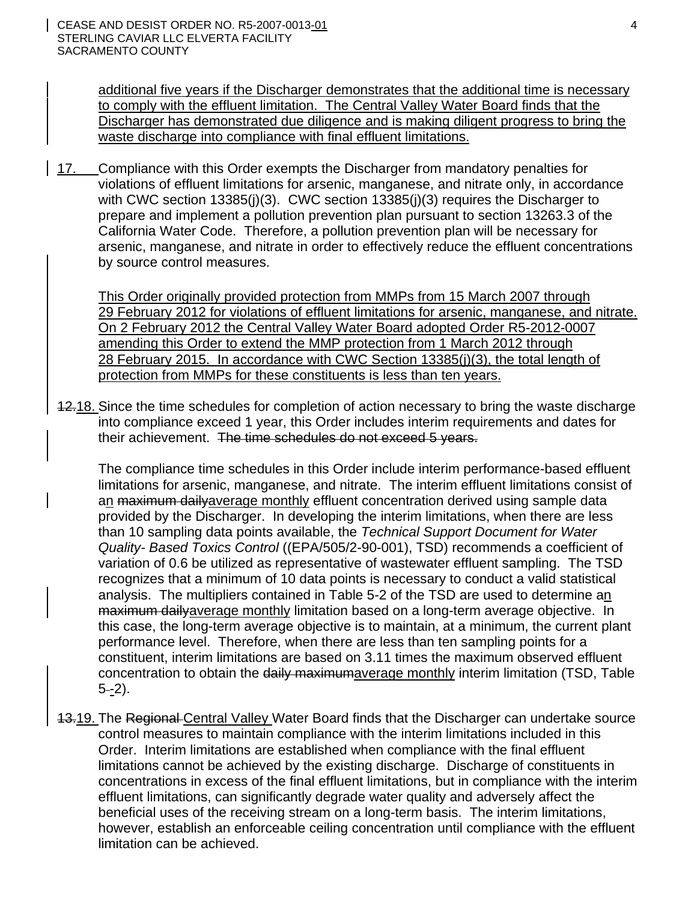additional five years if the Discharger demonstrates that the additional time is necessary to comply with the effluent limitation. The Central Valley Water Board finds that the Discharger has demonstrated due diligence and is making diligent progress to bring the waste discharge into compliance with final effluent limitations.

17. Compliance with this Order exempts the Discharger from mandatory penalties for violations of effluent limitations for arsenic, manganese, and nitrate only, in accordance with CWC section 13385(j)(3). CWC section 13385(j)(3) requires the Discharger to prepare and implement a pollution prevention plan pursuant to section 13263.3 of the California Water Code. Therefore, a pollution prevention plan will be necessary for arsenic, manganese, and nitrate in order to effectively reduce the effluent concentrations by source control measures.

This Order originally provided protection from MMPs from 15 March 2007 through 29 February 2012 for violations of effluent limitations for arsenic, manganese, and nitrate. On 2 February 2012 the Central Valley Water Board adopted Order R5-2012-0007 amending this Order to extend the MMP protection from 1 March 2012 through 28 February 2015. In accordance with CWC Section 13385(j)(3), the total length of protection from MMPs for these constituents is less than ten years.

12.18. Since the time schedules for completion of action necessary to bring the waste discharge into compliance exceed 1 year, this Order includes interim requirements and dates for their achievement. The time schedules do not exceed 5 years.

The compliance time schedules in this Order include interim performance-based effluent limitations for arsenic, manganese, and nitrate. The interim effluent limitations consist of an maximum dailyaverage monthly effluent concentration derived using sample data provided by the Discharger. In developing the interim limitations, when there are less than 10 sampling data points available, the *Technical Support Document for Water Quality- Based Toxics Control* ((EPA/505/2-90-001), TSD) recommends a coefficient of variation of 0.6 be utilized as representative of wastewater effluent sampling. The TSD recognizes that a minimum of 10 data points is necessary to conduct a valid statistical analysis. The multipliers contained in Table 5-2 of the TSD are used to determine an maximum dailyaverage monthly limitation based on a long-term average objective. In this case, the long-term average objective is to maintain, at a minimum, the current plant performance level. Therefore, when there are less than ten sampling points for a constituent, interim limitations are based on 3.11 times the maximum observed effluent concentration to obtain the daily maximumaverage monthly interim limitation (TSD, Table  $5 - 2$ ).

13.19. The Regional Central Valley Water Board finds that the Discharger can undertake source control measures to maintain compliance with the interim limitations included in this Order. Interim limitations are established when compliance with the final effluent limitations cannot be achieved by the existing discharge. Discharge of constituents in concentrations in excess of the final effluent limitations, but in compliance with the interim effluent limitations, can significantly degrade water quality and adversely affect the beneficial uses of the receiving stream on a long-term basis. The interim limitations, however, establish an enforceable ceiling concentration until compliance with the effluent limitation can be achieved.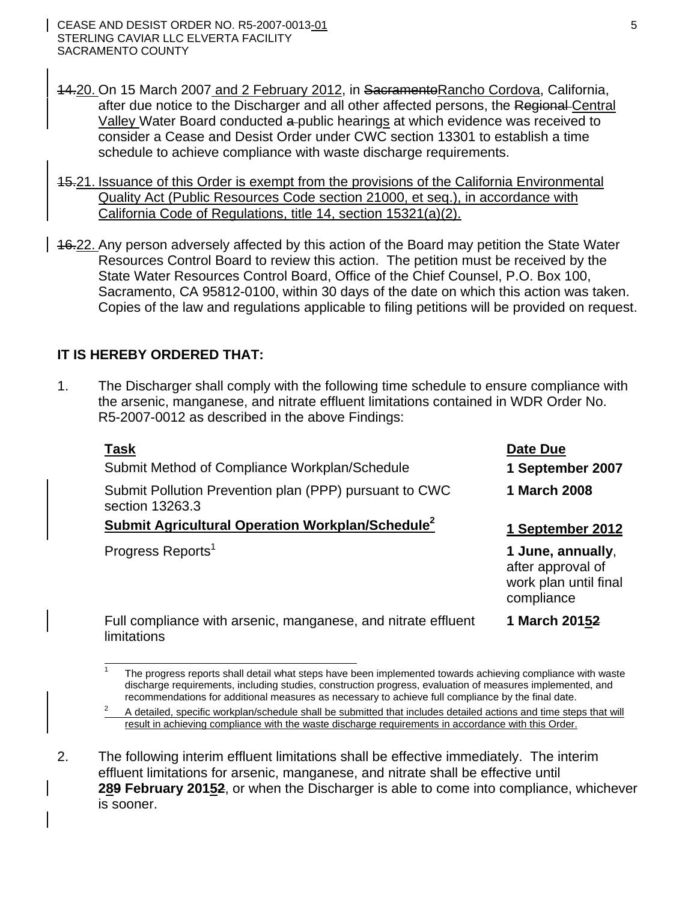- 14.20. On 15 March 2007 and 2 February 2012, in Sacramento Rancho Cordova, California, after due notice to the Discharger and all other affected persons, the Regional Central Valley Water Board conducted a public hearings at which evidence was received to consider a Cease and Desist Order under CWC section 13301 to establish a time schedule to achieve compliance with waste discharge requirements.
- 15.21. Issuance of this Order is exempt from the provisions of the California Environmental Quality Act (Public Resources Code section 21000, et seq.), in accordance with California Code of Regulations, title 14, section 15321(a)(2).
- 16.22. Any person adversely affected by this action of the Board may petition the State Water Resources Control Board to review this action. The petition must be received by the State Water Resources Control Board, Office of the Chief Counsel, P.O. Box 100, Sacramento, CA 95812-0100, within 30 days of the date on which this action was taken. Copies of the law and regulations applicable to filing petitions will be provided on request.

# **IT IS HEREBY ORDERED THAT:**

 $\overline{a}$ 

1. The Discharger shall comply with the following time schedule to ensure compliance with the arsenic, manganese, and nitrate effluent limitations contained in WDR Order No. R5-2007-0012 as described in the above Findings:

| Task                                                                         | <b>Date Due</b>                                                               |
|------------------------------------------------------------------------------|-------------------------------------------------------------------------------|
| Submit Method of Compliance Workplan/Schedule                                | 1 September 2007                                                              |
| Submit Pollution Prevention plan (PPP) pursuant to CWC<br>section 13263.3    | 1 March 2008                                                                  |
| <b>Submit Agricultural Operation Workplan/Schedule<sup>2</sup></b>           | 1 September 2012                                                              |
| Progress Reports <sup>1</sup>                                                | 1 June, annually,<br>after approval of<br>work plan until final<br>compliance |
| Full compliance with arsenic, manganese, and nitrate effluent<br>limitations | 1 March 20152                                                                 |

2. The following interim effluent limitations shall be effective immediately. The interim effluent limitations for arsenic, manganese, and nitrate shall be effective until **289 February 20152**, or when the Discharger is able to come into compliance, whichever is sooner.

<sup>1</sup> The progress reports shall detail what steps have been implemented towards achieving compliance with waste discharge requirements, including studies, construction progress, evaluation of measures implemented, and

recommendations for additional measures as necessary to achieve full compliance by the final date.<br>A detailed, specific workplan/schedule shall be submitted that includes detailed actions and time steps that will result in achieving compliance with the waste discharge requirements in accordance with this Order.